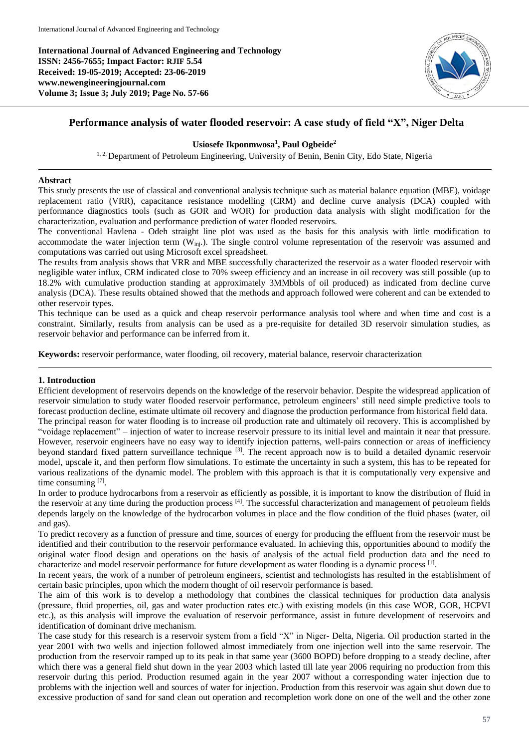**International Journal of Advanced Engineering and Technology ISSN: 2456-7655; Impact Factor: RJIF 5.54 Received: 19-05-2019; Accepted: 23-06-2019 www.newengineeringjournal.com Volume 3; Issue 3; July 2019; Page No. 57-66**



# **Performance analysis of water flooded reservoir: A case study of field "X", Niger Delta**

## **Usiosefe Ikponmwosa<sup>1</sup> , Paul Ogbeide<sup>2</sup>**

<sup>1, 2,</sup> Department of Petroleum Engineering, University of Benin, Benin City, Edo State, Nigeria

### **Abstract**

This study presents the use of classical and conventional analysis technique such as material balance equation (MBE), voidage replacement ratio (VRR), capacitance resistance modelling (CRM) and decline curve analysis (DCA) coupled with performance diagnostics tools (such as GOR and WOR) for production data analysis with slight modification for the characterization, evaluation and performance prediction of water flooded reservoirs.

The conventional Havlena - Odeh straight line plot was used as the basis for this analysis with little modification to accommodate the water injection term  $(\dot{W}_{ini})$ . The single control volume representation of the reservoir was assumed and computations was carried out using Microsoft excel spreadsheet.

The results from analysis shows that VRR and MBE successfully characterized the reservoir as a water flooded reservoir with negligible water influx, CRM indicated close to 70% sweep efficiency and an increase in oil recovery was still possible (up to 18.2% with cumulative production standing at approximately 3MMbbls of oil produced) as indicated from decline curve analysis (DCA). These results obtained showed that the methods and approach followed were coherent and can be extended to other reservoir types.

This technique can be used as a quick and cheap reservoir performance analysis tool where and when time and cost is a constraint. Similarly, results from analysis can be used as a pre-requisite for detailed 3D reservoir simulation studies, as reservoir behavior and performance can be inferred from it.

**Keywords:** reservoir performance, water flooding, oil recovery, material balance, reservoir characterization

## **1. Introduction**

Efficient development of reservoirs depends on the knowledge of the reservoir behavior. Despite the widespread application of reservoir simulation to study water flooded reservoir performance, petroleum engineers' still need simple predictive tools to forecast production decline, estimate ultimate oil recovery and diagnose the production performance from historical field data. The principal reason for water flooding is to increase oil production rate and ultimately oil recovery. This is accomplished by "voidage replacement" – injection of water to increase reservoir pressure to its initial level and maintain it near that pressure. However, reservoir engineers have no easy way to identify injection patterns, well-pairs connection or areas of inefficiency beyond standard fixed pattern surveillance technique [3]. The recent approach now is to build a detailed dynamic reservoir model, upscale it, and then perform flow simulations. To estimate the uncertainty in such a system, this has to be repeated for various realizations of the dynamic model. The problem with this approach is that it is computationally very expensive and time consuming [7].

In order to produce hydrocarbons from a reservoir as efficiently as possible, it is important to know the distribution of fluid in the reservoir at any time during the production process [4]. The successful characterization and management of petroleum fields depends largely on the knowledge of the hydrocarbon volumes in place and the flow condition of the fluid phases (water, oil and gas).

To predict recovery as a function of pressure and time, sources of energy for producing the effluent from the reservoir must be identified and their contribution to the reservoir performance evaluated. In achieving this, opportunities abound to modify the original water flood design and operations on the basis of analysis of the actual field production data and the need to characterize and model reservoir performance for future development as water flooding is a dynamic process <sup>[1]</sup>.

In recent years, the work of a number of petroleum engineers, scientist and technologists has resulted in the establishment of certain basic principles, upon which the modern thought of oil reservoir performance is based.

The aim of this work is to develop a methodology that combines the classical techniques for production data analysis (pressure, fluid properties, oil, gas and water production rates etc.) with existing models (in this case WOR, GOR, HCPVI etc.), as this analysis will improve the evaluation of reservoir performance, assist in future development of reservoirs and identification of dominant drive mechanism.

The case study for this research is a reservoir system from a field "X" in Niger- Delta, Nigeria. Oil production started in the year 2001 with two wells and injection followed almost immediately from one injection well into the same reservoir. The production from the reservoir ramped up to its peak in that same year (3600 BOPD) before dropping to a steady decline, after which there was a general field shut down in the year 2003 which lasted till late year 2006 requiring no production from this reservoir during this period. Production resumed again in the year 2007 without a corresponding water injection due to problems with the injection well and sources of water for injection. Production from this reservoir was again shut down due to excessive production of sand for sand clean out operation and recompletion work done on one of the well and the other zone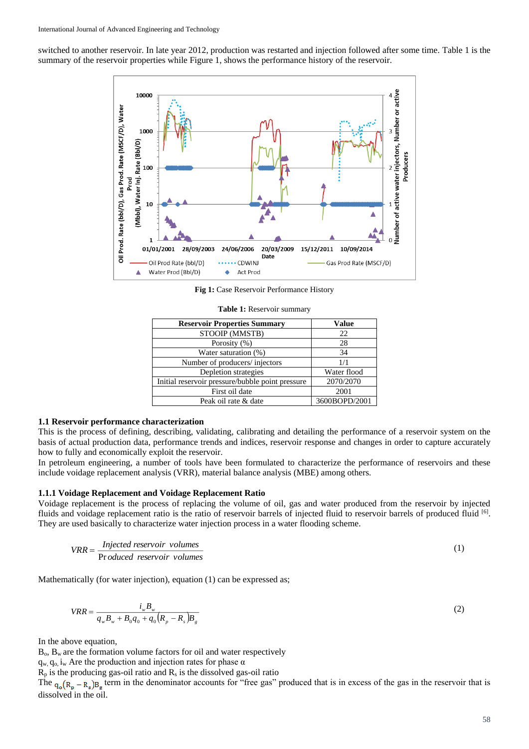switched to another reservoir. In late year 2012, production was restarted and injection followed after some time. Table 1 is the summary of the reservoir properties while Figure 1, shows the performance history of the reservoir.



**Fig 1:** Case Reservoir Performance History

| <b>Reservoir Properties Summary</b>              | Value         |
|--------------------------------------------------|---------------|
| STOOIP (MMSTB)                                   | 22            |
| Porosity (%)                                     | 28            |
| Water saturation (%)                             | 34            |
| Number of producers/injectors                    | 1/1           |
| Depletion strategies                             | Water flood   |
| Initial reservoir pressure/bubble point pressure | 2070/2070     |
| First oil date                                   | 2001          |
| Peak oil rate & date                             | 3600BOPD/2001 |

**Table 1:** Reservoir summary

#### **1.1 Reservoir performance characterization**

This is the process of defining, describing, validating, calibrating and detailing the performance of a reservoir system on the basis of actual production data, performance trends and indices, reservoir response and changes in order to capture accurately how to fully and economically exploit the reservoir.

In petroleum engineering, a number of tools have been formulated to characterize the performance of reservoirs and these include voidage replacement analysis (VRR), material balance analysis (MBE) among others.

#### **1.1.1 Voidage Replacement and Voidage Replacement Ratio**

Voidage replacement is the process of replacing the volume of oil, gas and water produced from the reservoir by injected fluids and voidage replacement ratio is the ratio of reservoir barrels of injected fluid to reservoir barrels of produced fluid [6]. They are used basically to characterize water injection process in a water flooding scheme.

$$
VRR = \frac{Injected reservoir volumes}{Produced reservoir volumes}
$$
 (1)

Mathematically (for water injection), equation (1) can be expressed as;

$$
VRR = \frac{i_w B_w}{q_w B_w + B_0 q_0 + q_0 (R_p - R_s) B_g}
$$
\n(2)

In the above equation,

 $B_0$ ,  $B_w$  are the formation volume factors for oil and water respectively

 $q_w$ ,  $q_o$ , i<sub>w</sub> Are the production and injection rates for phase  $\alpha$ 

 $R_p$  is the producing gas-oil ratio and  $R_s$  is the dissolved gas-oil ratio

The  $q_0(R_p - R_s)B_g$  term in the denominator accounts for "free gas" produced that is in excess of the gas in the reservoir that is dissolved in the oil.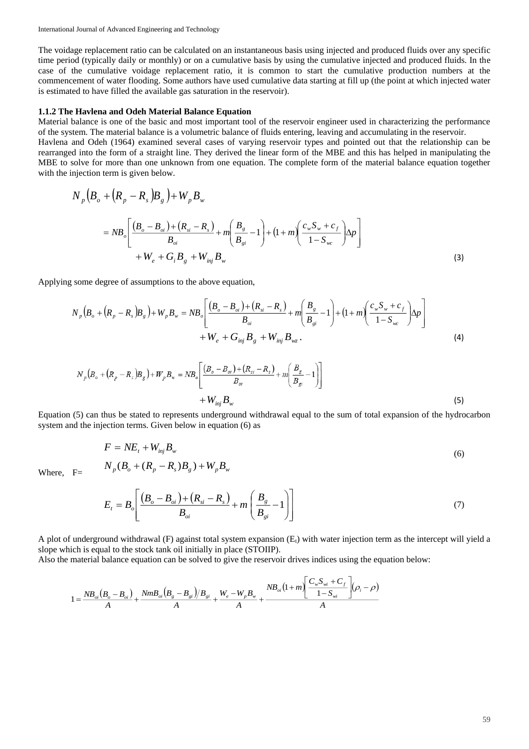The voidage replacement ratio can be calculated on an instantaneous basis using injected and produced fluids over any specific time period (typically daily or monthly) or on a cumulative basis by using the cumulative injected and produced fluids. In the case of the cumulative voidage replacement ratio, it is common to start the cumulative production numbers at the commencement of water flooding. Some authors have used cumulative data starting at fill up (the point at which injected water is estimated to have filled the available gas saturation in the reservoir).

### **1.1.2 The Havlena and Odeh Material Balance Equation**

Material balance is one of the basic and most important tool of the reservoir engineer used in characterizing the performance of the system. The material balance is a volumetric balance of fluids entering, leaving and accumulating in the reservoir.

Havlena and Odeh (1964) examined several cases of varying reservoir types and pointed out that the relationship can be rearranged into the form of a straight line. They derived the linear form of the MBE and this has helped in manipulating the MBE to solve for more than one unknown from one equation. The complete form of the material balance equation together with the injection term is given below.

$$
N_{p}\left(B_{o} + \left(R_{p} - R_{s}\right)B_{g}\right) + W_{p}B_{w}
$$
\n
$$
= NB_{o}\left[\frac{\left(B_{o} - B_{oi}\right) + \left(R_{si} - R_{s}\right)}{B_{oi}} + m\left(\frac{B_{g}}{B_{gi}} - 1\right) + \left(1 + m\left(\frac{c_{w}S_{w} + c_{f}}{1 - S_{wc}}\right)\Delta p\right)\right]
$$
\n
$$
+ W_{e} + G_{i}B_{g} + W_{inj}B_{w}
$$
\n(3)

Applying some degree of assumptions to the above equation,

$$
N_{p}\left(B_{o} + (R_{p} - R_{s})B_{g}\right) + W_{p}B_{w} = NB_{o}\left[\frac{(B_{o} - B_{oi}) + (R_{si} - R_{s})}{B_{oi}} + m\left(\frac{B_{g}}{B_{gi}} - 1\right) + (1 + m)\left(\frac{c_{w}S_{w} + c_{f}}{1 - S_{wc}}\right)\Delta p\right] + W_{e} + G_{inj}B_{g} + W_{inj}B_{wz}.
$$
\n(4)

$$
N_{p}(B_{o} + (R_{p} - R_{s})B_{g}) + W_{p}B_{w} = NB_{o}\left[\frac{(B_{o} - B_{oi}) + (R_{si} - R_{s})}{B_{oi}} + m\left(\frac{B_{g}}{B_{gi}} - 1\right)\right] + W_{inj}B_{w}
$$
\n(5)

Equation (5) can thus be stated to represents underground withdrawal equal to the sum of total expansion of the hydrocarbon system and the injection terms. Given below in equation (6) as

$$
F = NE_{t} + W_{inj}B_{w}
$$
  
\n
$$
N_{p}(B_{o} + (R_{p} - R_{s})B_{g}) + W_{p}B_{w}
$$
\n(6)

Where, F=

$$
E_{t} = B_{o} \left[ \frac{(B_{o} - B_{oi}) + (R_{si} - R_{s})}{B_{oi}} + m \left( \frac{B_{g}}{B_{gi}} - 1 \right) \right]
$$
(7)

A plot of underground withdrawal  $(F)$  against total system expansion  $(E<sub>t</sub>)$  with water injection term as the intercept will yield a slope which is equal to the stock tank oil initially in place (STOIIP).

Also the material balance equation can be solved to give the reservoir drives indices using the equation below:

$$
1 = \frac{NB_{oi}(B_o - B_{oi})}{A} + \frac{NmB_{oi}(B_g - B_{gi})/B_{gi}}{A} + \frac{W_e - W_pB_w}{A} + \frac{NB_{oi}(1 + m)\left[\frac{C_wS_{wi} + C_f}{1 - S_{wi}}\right](\rho_i - \rho)}{A}
$$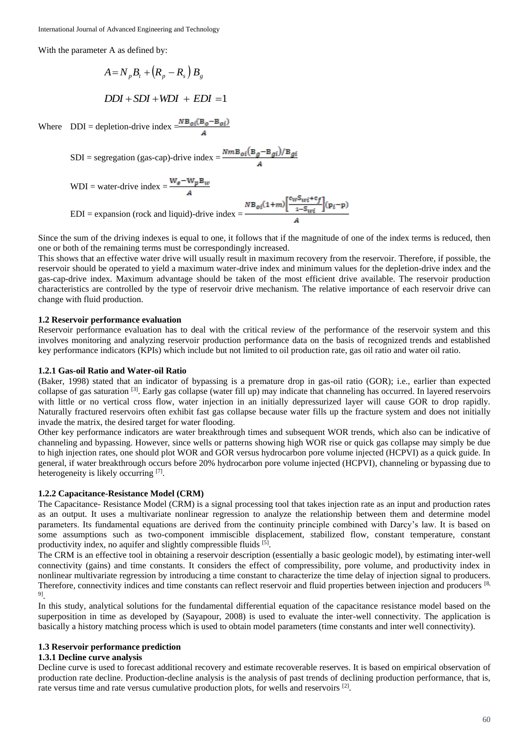With the parameter A as defined by:

$$
A = N_p B_t + (R_p - R_s) B_g
$$

$$
DDI + SDI + WDI + EDI = 1
$$

Where  $DDI =$  depletion-drive index  $=\frac{NB_{oi}(B_o - B_{oi})}{4}$ 

$$
SDI = \text{segregation (gas-cap)}-drive \text{ index} = \frac{Nm\mathbf{B}_{oi}(\mathbf{B}_g - \mathbf{B}_{gi})/\mathbf{B}_{gi}}{A}
$$

WDI = water-drive index =  $\frac{W_g - W_p B_w}{4}$ 

EDI = expansion (rock and liquid)-drive index = 
$$
\frac{N B_{oi}(1+m) \left[ \frac{c_W S_{wi} + c_f}{1-S_{wi}} \right] (p_i - p)}{A}
$$

Since the sum of the driving indexes is equal to one, it follows that if the magnitude of one of the index terms is reduced, then one or both of the remaining terms must be correspondingly increased.

This shows that an effective water drive will usually result in maximum recovery from the reservoir. Therefore, if possible, the reservoir should be operated to yield a maximum water-drive index and minimum values for the depletion-drive index and the gas-cap-drive index. Maximum advantage should be taken of the most efficient drive available. The reservoir production characteristics are controlled by the type of reservoir drive mechanism. The relative importance of each reservoir drive can change with fluid production.

## **1.2 Reservoir performance evaluation**

Reservoir performance evaluation has to deal with the critical review of the performance of the reservoir system and this involves monitoring and analyzing reservoir production performance data on the basis of recognized trends and established key performance indicators (KPIs) which include but not limited to oil production rate, gas oil ratio and water oil ratio.

## **1.2.1 Gas-oil Ratio and Water-oil Ratio**

(Baker, 1998) stated that an indicator of bypassing is a premature drop in gas-oil ratio (GOR); i.e., earlier than expected collapse of gas saturation <sup>[3]</sup>. Early gas collapse (water fill up) may indicate that channeling has occurred. In layered reservoirs with little or no vertical cross flow, water injection in an initially depressurized layer will cause GOR to drop rapidly. Naturally fractured reservoirs often exhibit fast gas collapse because water fills up the fracture system and does not initially invade the matrix, the desired target for water flooding.

Other key performance indicators are water breakthrough times and subsequent WOR trends, which also can be indicative of channeling and bypassing. However, since wells or patterns showing high WOR rise or quick gas collapse may simply be due to high injection rates, one should plot WOR and GOR versus hydrocarbon pore volume injected (HCPVI) as a quick guide. In general, if water breakthrough occurs before 20% hydrocarbon pore volume injected (HCPVI), channeling or bypassing due to heterogeneity is likely occurring [7].

#### **1.2.2 Capacitance-Resistance Model (CRM)**

The Capacitance- Resistance Model (CRM) is a signal processing tool that takes injection rate as an input and production rates as an output. It uses a multivariate nonlinear regression to analyze the relationship between them and determine model parameters. Its fundamental equations are derived from the continuity principle combined with Darcy's law. It is based on some assumptions such as two-component immiscible displacement, stabilized flow, constant temperature, constant productivity index, no aquifer and slightly compressible fluids [5].

The CRM is an effective tool in obtaining a reservoir description (essentially a basic geologic model), by estimating inter-well connectivity (gains) and time constants. It considers the effect of compressibility, pore volume, and productivity index in nonlinear multivariate regression by introducing a time constant to characterize the time delay of injection signal to producers. Therefore, connectivity indices and time constants can reflect reservoir and fluid properties between injection and producers [8, 9] .

In this study, analytical solutions for the fundamental differential equation of the capacitance resistance model based on the superposition in time as developed by (Sayapour, 2008) is used to evaluate the inter-well connectivity. The application is basically a history matching process which is used to obtain model parameters (time constants and inter well connectivity).

## **1.3 Reservoir performance prediction**

### **1.3.1 Decline curve analysis**

Decline curve is used to forecast additional recovery and estimate recoverable reserves. It is based on empirical observation of production rate decline. Production-decline analysis is the analysis of past trends of declining production performance, that is, rate versus time and rate versus cumulative production plots, for wells and reservoirs [2].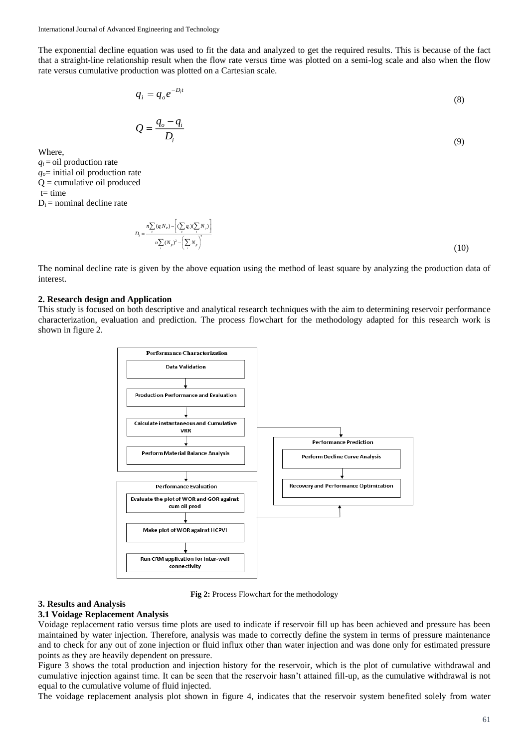The exponential decline equation was used to fit the data and analyzed to get the required results. This is because of the fact that a straight-line relationship result when the flow rate versus time was plotted on a semi-log scale and also when the flow rate versus cumulative production was plotted on a Cartesian scale.

$$
q_i = q_o e^{-D_i t} \tag{8}
$$

$$
Q = \frac{q_o - q_i}{D_i} \tag{9}
$$

Where,

 $q_i$  = oil production rate *qo*= initial oil production rate  $Q =$  cumulative oil produced  $t=$  time  $D_i$  = nominal decline rate

$$
D_i = \frac{n \sum_i (q_i N_p) - \left[ (\sum_i q_i)(\sum_i N_p) \right]}{n \sum_i (N_p)^2 - \left( \sum_i N_p \right)^2}
$$
\n(10)

The nominal decline rate is given by the above equation using the method of least square by analyzing the production data of interest.

#### **2. Research design and Application**

This study is focused on both descriptive and analytical research techniques with the aim to determining reservoir performance characterization, evaluation and prediction. The process flowchart for the methodology adapted for this research work is shown in figure 2.



**Fig 2:** Process Flowchart for the methodology

#### **3. Results and Analysis**

#### **3.1 Voidage Replacement Analysis**

Voidage replacement ratio versus time plots are used to indicate if reservoir fill up has been achieved and pressure has been maintained by water injection. Therefore, analysis was made to correctly define the system in terms of pressure maintenance and to check for any out of zone injection or fluid influx other than water injection and was done only for estimated pressure points as they are heavily dependent on pressure.

Figure 3 shows the total production and injection history for the reservoir, which is the plot of cumulative withdrawal and cumulative injection against time. It can be seen that the reservoir hasn't attained fill-up, as the cumulative withdrawal is not equal to the cumulative volume of fluid injected.

The voidage replacement analysis plot shown in figure 4, indicates that the reservoir system benefited solely from water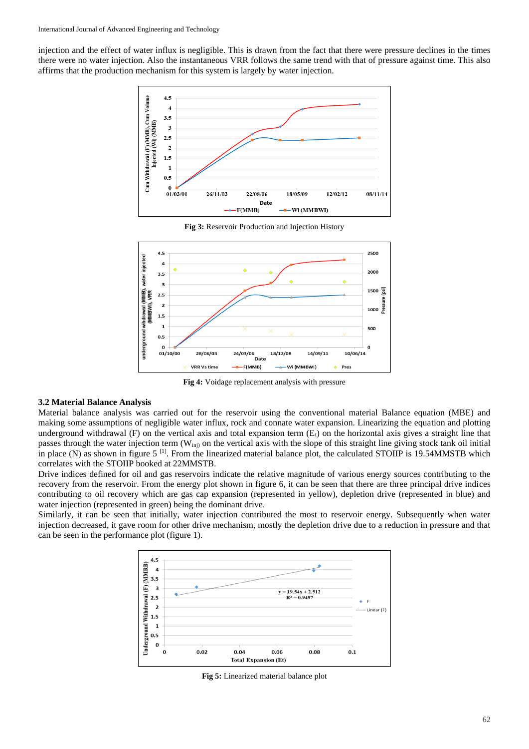injection and the effect of water influx is negligible. This is drawn from the fact that there were pressure declines in the times there were no water injection. Also the instantaneous VRR follows the same trend with that of pressure against time. This also affirms that the production mechanism for this system is largely by water injection.





**Fig 3:** Reservoir Production and Injection History

**Fig 4:** Voidage replacement analysis with pressure

## **3.2 Material Balance Analysis**

Material balance analysis was carried out for the reservoir using the conventional material Balance equation (MBE) and making some assumptions of negligible water influx, rock and connate water expansion. Linearizing the equation and plotting underground withdrawal (F) on the vertical axis and total expansion term  $(E<sub>t</sub>)$  on the horizontal axis gives a straight line that passes through the water injection term  $(W_{\text{ini}})$  on the vertical axis with the slope of this straight line giving stock tank oil initial in place (N) as shown in figure  $5^{[1]}$ . From the linearized material balance plot, the calculated STOIIP is 19.54MMSTB which correlates with the STOIIP booked at 22MMSTB.

Drive indices defined for oil and gas reservoirs indicate the relative magnitude of various energy sources contributing to the recovery from the reservoir. From the energy plot shown in figure 6, it can be seen that there are three principal drive indices contributing to oil recovery which are gas cap expansion (represented in yellow), depletion drive (represented in blue) and water injection (represented in green) being the dominant drive.

Similarly, it can be seen that initially, water injection contributed the most to reservoir energy. Subsequently when water injection decreased, it gave room for other drive mechanism, mostly the depletion drive due to a reduction in pressure and that can be seen in the performance plot (figure 1).



**Fig 5:** Linearized material balance plot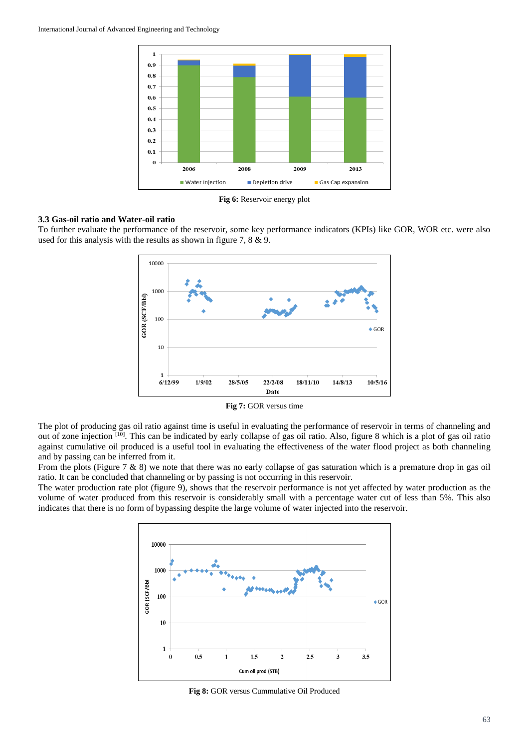

**Fig 6:** Reservoir energy plot

#### **3.3 Gas-oil ratio and Water-oil ratio**

To further evaluate the performance of the reservoir, some key performance indicators (KPIs) like GOR, WOR etc. were also used for this analysis with the results as shown in figure 7, 8 & 9.



**Fig 7:** GOR versus time

The plot of producing gas oil ratio against time is useful in evaluating the performance of reservoir in terms of channeling and out of zone injection [10]. This can be indicated by early collapse of gas oil ratio. Also, figure 8 which is a plot of gas oil ratio against cumulative oil produced is a useful tool in evaluating the effectiveness of the water flood project as both channeling and by passing can be inferred from it.

From the plots (Figure 7 & 8) we note that there was no early collapse of gas saturation which is a premature drop in gas oil ratio. It can be concluded that channeling or by passing is not occurring in this reservoir.

The water production rate plot (figure 9), shows that the reservoir performance is not yet affected by water production as the volume of water produced from this reservoir is considerably small with a percentage water cut of less than 5%. This also indicates that there is no form of bypassing despite the large volume of water injected into the reservoir.



**Fig 8:** GOR versus Cummulative Oil Produced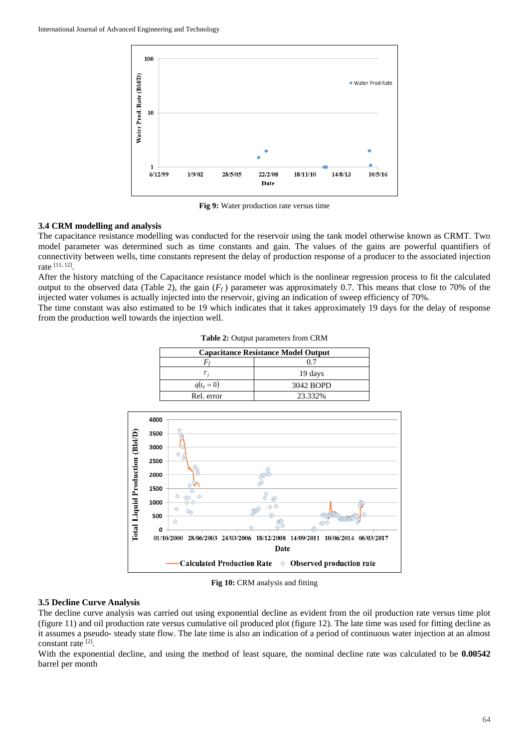

**Fig 9:** Water production rate versus time

#### **3.4 CRM modelling and analysis**

The capacitance resistance modelling was conducted for the reservoir using the tank model otherwise known as CRMT. Two model parameter was determined such as time constants and gain. The values of the gains are powerful quantifiers of connectivity between wells, time constants represent the delay of production response of a producer to the associated injection rate [11, 12] .

After the history matching of the Capacitance resistance model which is the nonlinear regression process to fit the calculated output to the observed data (Table 2), the gain  $(F_f)$  parameter was approximately 0.7. This means that close to 70% of the injected water volumes is actually injected into the reservoir, giving an indication of sweep efficiency of 70%.

The time constant was also estimated to be 19 which indicates that it takes approximately 19 days for the delay of response from the production well towards the injection well.

| <b>Capacitance Resistance Model Output</b> |           |  |
|--------------------------------------------|-----------|--|
|                                            |           |  |
|                                            | 19 days   |  |
| $q(t_0 = 0)$                               | 3042 BOPD |  |
| Rel. error                                 | 23.332%   |  |

**Table 2:** Output parameters from CRM



**Fig 10:** CRM analysis and fitting

## **3.5 Decline Curve Analysis**

The decline curve analysis was carried out using exponential decline as evident from the oil production rate versus time plot (figure 11) and oil production rate versus cumulative oil produced plot (figure 12). The late time was used for fitting decline as it assumes a pseudo- steady state flow. The late time is also an indication of a period of continuous water injection at an almost constant rate [2].

With the exponential decline, and using the method of least square, the nominal decline rate was calculated to be **0.00542** barrel per month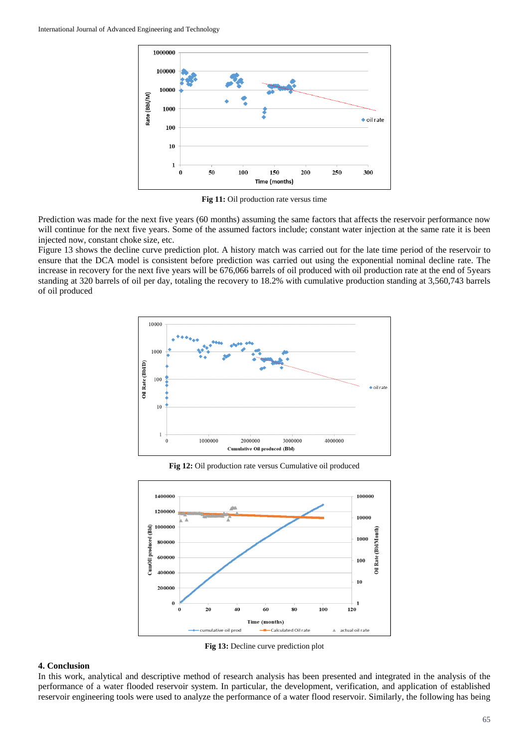

**Fig 11:** Oil production rate versus time

Prediction was made for the next five years (60 months) assuming the same factors that affects the reservoir performance now will continue for the next five years. Some of the assumed factors include; constant water injection at the same rate it is been injected now, constant choke size, etc.

Figure 13 shows the decline curve prediction plot. A history match was carried out for the late time period of the reservoir to ensure that the DCA model is consistent before prediction was carried out using the exponential nominal decline rate. The increase in recovery for the next five years will be 676,066 barrels of oil produced with oil production rate at the end of 5years standing at 320 barrels of oil per day, totaling the recovery to 18.2% with cumulative production standing at 3,560,743 barrels of oil produced



**Fig 12:** Oil production rate versus Cumulative oil produced



**Fig 13:** Decline curve prediction plot

## **4. Conclusion**

In this work, analytical and descriptive method of research analysis has been presented and integrated in the analysis of the performance of a water flooded reservoir system. In particular, the development, verification, and application of established reservoir engineering tools were used to analyze the performance of a water flood reservoir. Similarly, the following has being